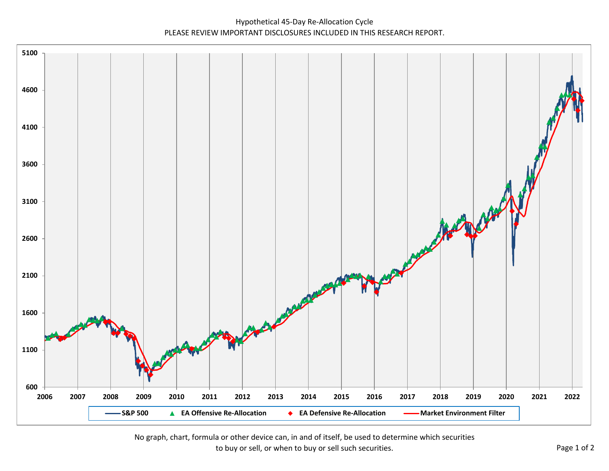Hypothetical 45‐Day Re‐Allocation Cycle PLEASE REVIEW IMPORTANT DISCLOSURES INCLUDED IN THIS RESEARCH REPORT.



No graph, chart, formula or other device can, in and of itself, be used to determine which securities to buy or sell, or when to buy or sell such securities. The example of 2